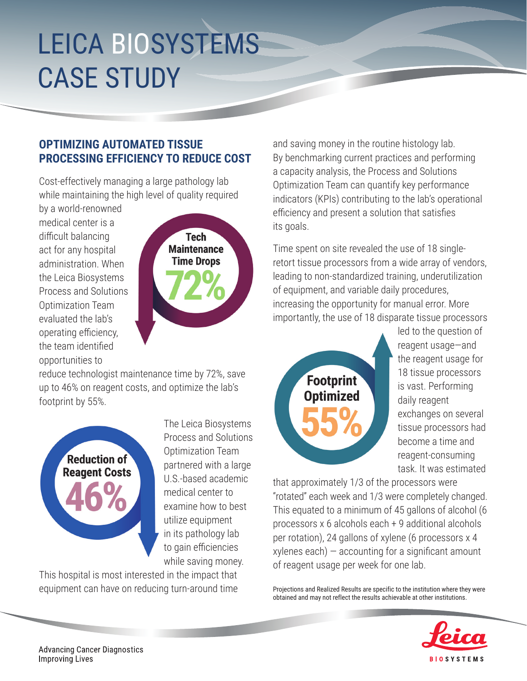## LEICA BIOSYSTEMS CASE STUDY

## **OPTIMIZING AUTOMATED TISSUE PROCESSING EFFICIENCY TO REDUCE COST**

Cost-effectively managing a large pathology lab while maintaining the high level of quality required

by a world-renowned medical center is a difficult balancing act for any hospital administration. When the Leica Biosystems Process and Solutions Optimization Team evaluated the lab's operating efficiency, the team identified opportunities to



reduce technologist maintenance time by 72%, save up to 46% on reagent costs, and optimize the lab's footprint by 55%.



The Leica Biosystems Process and Solutions Optimization Team partnered with a large U.S.-based academic medical center to examine how to best utilize equipment in its pathology lab to gain efficiencies while saving money.

This hospital is most interested in the impact that

and saving money in the routine histology lab. By benchmarking current practices and performing a capacity analysis, the Process and Solutions Optimization Team can quantify key performance indicators (KPIs) contributing to the lab's operational efficiency and present a solution that satisfies its goals.

Time spent on site revealed the use of 18 singleretort tissue processors from a wide array of vendors, leading to non-standardized training, underutilization of equipment, and variable daily procedures, increasing the opportunity for manual error. More importantly, the use of 18 disparate tissue processors



led to the question of reagent usage—and the reagent usage for 18 tissue processors is vast. Performing daily reagent exchanges on several tissue processors had become a time and reagent-consuming task. It was estimated

that approximately 1/3 of the processors were "rotated" each week and 1/3 were completely changed. This equated to a minimum of 45 gallons of alcohol (6 processors x 6 alcohols each + 9 additional alcohols per rotation), 24 gallons of xylene (6 processors x 4  $xy$ lenes each)  $-$  accounting for a significant amount of reagent usage per week for one lab.

equipment can have on reducing turn-around time Projections and Realized Results are specific to the institution where they were obtained and may not reflect the results achievable at other institutions.



**Advancing Cancer Diagnostics Improving Lives**